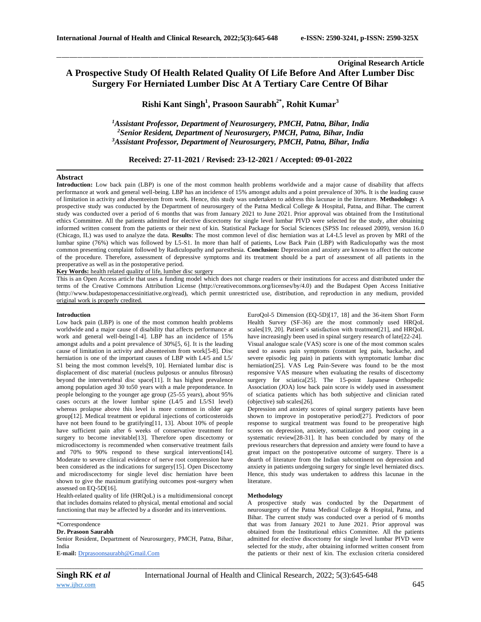# **Original Research Article A Prospective Study Of Health Related Quality Of Life Before And After Lumber Disc Surgery For Herniated Lumber Disc At A Tertiary Care Centre Of Bihar**

\_\_\_\_\_\_\_\_\_\_\_\_\_\_\_\_\_\_\_\_\_\_\_\_\_\_\_\_\_\_\_\_\_\_\_\_\_\_\_\_\_\_\_\_\_\_\_\_\_\_\_\_\_\_\_\_\_\_\_\_\_\_\_\_\_\_\_\_\_\_\_\_\_\_\_\_\_\_\_\_\_\_\_\_\_\_\_\_\_\_\_\_\_\_\_\_\_\_\_\_\_\_\_\_\_\_\_\_\_\_\_\_\_\_\_\_\_\_\_\_\_\_\_\_\_\_\_\_\_\_\_\_\_\_\_\_\_\_\_\_

**Rishi Kant Singh<sup>1</sup> , Prasoon Saurabh2\* , Rohit Kumar<sup>3</sup>**

*<sup>1</sup>Assistant Professor, Department of Neurosurgery, PMCH, Patna, Bihar, India <sup>2</sup>Senior Resident, Department of Neurosurgery, PMCH, Patna, Bihar, India <sup>3</sup>Assistant Professor, Department of Neurosurgery, PMCH, Patna, Bihar, India*

**Received: 27-11-2021 / Revised: 23-12-2021 / Accepted: 09-01-2022**

# **Abstract**

**Introduction:** Low back pain (LBP) is one of the most common health problems worldwide and a major cause of disability that affects performance at work and general well-being. LBP has an incidence of 15% amongst adults and a point prevalence of 30%. It is the leading cause of limitation in activity and absenteeism from work. Hence, this study was undertaken to address this lacunae in the literature. **Methodology:** A prospective study was conducted by the Department of neurosurgery of the Patna Medical College & Hospital, Patna, and Bihar. The current study was conducted over a period of 6 months that was from January 2021 to June 2021. Prior approval was obtained from the Institutional ethics Committee. All the patients admitted for elective discectomy for single level lumbar PIVD were selected for the study, after obtaining informed written consent from the patients or their next of kin. Statistical Package for Social Sciences (SPSS Inc released 2009), version 16.0 (Chicago, IL) was used to analyze the data. **Results**: The most common level of disc herniation was at L4-L5 level as proven by MRI of the lumbar spine (76%) which was followed by L5-S1. In more than half of patients, Low Back Pain (LBP) with Radiculopathy was the most common presenting complaint followed by Radiculopathy and paresthesia. **Conclusion:** Depression and anxiety are known to affect the outcome of the procedure. Therefore, assessment of depressive symptoms and its treatment should be a part of assessment of all patients in the preoperative as well as in the postoperative period.

**Key Words:** health related quality of life, lumber disc surgery

This is an Open Access article that uses a funding model which does not charge readers or their institutions for access and distributed under the terms of the Creative Commons Attribution License (http://creativecommons.org/licenses/by/4.0) and the Budapest Open Access Initiative (http://www.budapestopenaccessinitiative.org/read), which permit unrestricted use, distribution, and reproduction in any medium, provided original work is properly credited.

#### **Introduction**

Low back pain (LBP) is one of the most common health problems worldwide and a major cause of disability that affects performance at work and general well-being[1-4]. LBP has an incidence of 15% amongst adults and a point prevalence of 30%[5, 6]. It is the leading cause of limitation in activity and absenteeism from work[5-8]. Disc herniation is one of the important causes of LBP with L4/5 and L5/ S1 being the most common levels[9, 10]. Herniated lumbar disc is displacement of disc material (nucleus pulposus or annulus fibrosus) beyond the intervertebral disc space[11]. It has highest prevalence among population aged 30 to50 years with a male preponderance. In people belonging to the younger age group (25-55 years), about 95% cases occurs at the lower lumbar spine (L4/5 and L5/S1 level) whereas prolapse above this level is more common in older age group[12]. Medical treatment or epidural injections of corticosteroids have not been found to be gratifying[11, 13]. About 10% of people have sufficient pain after 6 weeks of conservative treatment for surgery to become inevitable<sup>[13]</sup>. Therefore open discectomy or microdiscectomy is recommended when conservative treatment fails and 70% to 90% respond to these surgical interventions[14]. Moderate to severe clinical evidence of nerve root compression have been considered as the indications for surgery[15]. Open Discectomy and microdiscectomy for single level disc herniation have been shown to give the maximum gratifying outcomes post-surgery when assessed on EQ-5D[16].

Health-related quality of life (HRQoL) is a multidimensional concept that includes domains related to physical, mental emotional and social functioning that may be affected by a disorder and its interventions.

# \*Correspondence

# **Dr. Prasoon Saurabh**

Senior Resident, Department of Neurosurgery, PMCH, Patna, Bihar, India **E-mail:** [Drprasoonsaurabh@Gmail.Com](mailto:drprasoonsaurabh@gmail.com)

EuroQol-5 Dimension (EQ-5D)[17, 18] and the 36-item Short Form Health Survey (SF-36) are the most commonly used HRQoL scales[19, 20]. Patient's satisfaction with treatment[21], and HRQoL have increasingly been used in spinal surgery research of late[22-24]. Visual analogue scale (VAS) score is one of the most common scales used to assess pain symptoms (constant leg pain, backache, and severe episodic leg pain) in patients with symptomatic lumbar disc herniation[25]. VAS Leg Pain-Severe was found to be the most responsive VAS measure when evaluating the results of discectomy surgery for sciatica[25]. The 15-point Japanese Orthopedic Association (JOA) low back pain score is widely used in assessment of sciatica patients which has both subjective and clinician rated (objective) sub scales[26].

Depression and anxiety scores of spinal surgery patients have been shown to improve in postoperative period[27]. Predictors of poor response to surgical treatment was found to be preoperative high scores on depression, anxiety, somatization and poor coping in a systematic review[28-31]. It has been concluded by many of the previous researchers that depression and anxiety were found to have a great impact on the postoperative outcome of surgery. There is a dearth of literature from the Indian subcontinent on depression and anxiety in patients undergoing surgery for single level herniated discs. Hence, this study was undertaken to address this lacunae in the literature.

# **Methodology**

A prospective study was conducted by the Department of neurosurgery of the Patna Medical College & Hospital, Patna, and Bihar. The current study was conducted over a period of 6 months that was from January 2021 to June 2021. Prior approval was obtained from the Institutional ethics Committee. All the patients admitted for elective discectomy for single level lumbar PIVD were selected for the study, after obtaining informed written consent from the patients or their next of kin. The exclusion criteria considered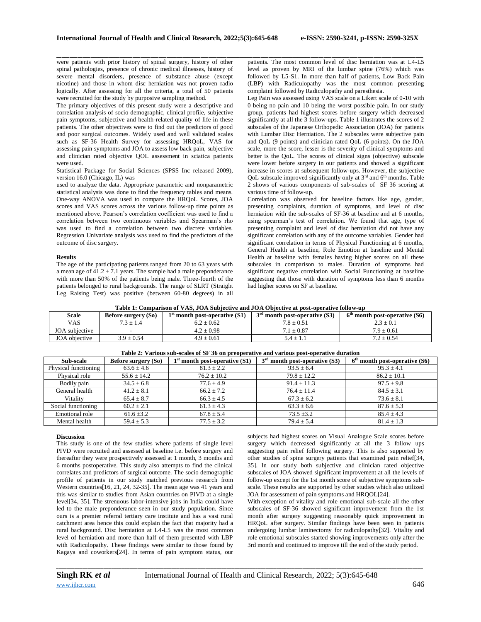were patients with prior history of spinal surgery, history of other spinal pathologies, presence of chronic medical illnesses, history of severe mental disorders, presence of substance abuse (except nicotine) and those in whom disc herniation was not proven radio logically. After assessing for all the criteria, a total of 50 patients were recruited for the study by purposive sampling method.

The primary objectives of this present study were a descriptive and correlation analysis of socio demographic, clinical profile, subjective pain symptoms, subjective and health-related quality of life in these patients. The other objectives were to find out the predictors of good and poor surgical outcomes. Widely used and well validated scales such as SF-36 Health Survey for assessing HRQoL, VAS for assessing pain symptoms and JOA to assess low back pain, subjective and clinician rated objective QOL assessment in sciatica patients were used.

## Statistical Package for Social Sciences (SPSS Inc released 2009), version 16.0 (Chicago, IL) was

used to analyze the data. Appropriate parametric and nonparametric statistical analysis was done to find the frequency tables and means. One-way ANOVA was used to compare the HRQoL Scores, JOA scores and VAS scores across the various follow-up time points as mentioned above. Pearson's correlation coefficient was used to find a correlation between two continuous variables and Spearman's rho was used to find a correlation between two discrete variables. Regression Univariate analysis was used to find the predictors of the outcome of disc surgery.

### **Results**

The age of the participating patients ranged from 20 to 63 years with a mean age of  $41.2 \pm 7.1$  years. The sample had a male preponderance with more than 50% of the patients being male. Three-fourth of the patients belonged to rural backgrounds. The range of SLRT (Straight Leg Raising Test) was positive (between 60-80 degrees) in all

\_\_\_\_\_\_\_\_\_\_\_\_\_\_\_\_\_\_\_\_\_\_\_\_\_\_\_\_\_\_\_\_\_\_\_\_\_\_\_\_\_\_\_\_\_\_\_\_\_\_\_\_\_\_\_\_\_\_\_\_\_\_\_\_\_\_\_\_\_\_\_\_\_\_\_\_\_\_\_\_\_\_\_\_\_\_\_\_\_\_\_\_\_\_\_\_\_\_\_\_\_\_\_\_\_\_\_\_\_\_\_\_\_\_\_\_\_\_\_\_\_\_\_\_\_\_\_\_\_\_\_\_\_\_\_\_\_\_\_\_ patients. The most common level of disc herniation was at L4-L5 level as proven by MRI of the lumbar spine (76%) which was followed by L5-S1. In more than half of patients, Low Back Pain (LBP) with Radiculopathy was the most common presenting complaint followed by Radiculopathy and paresthesia.

Leg Pain was assessed using VAS scale on a Likert scale of 0-10 with 0 being no pain and 10 being the worst possible pain. In our study group, patients had highest scores before surgery which decreased significantly at all the 3 follow-ups. Table 1 illustrates the scores of 2 subscales of the Japanese Orthopedic Association (JOA) for patients with Lumbar Disc Herniation. The 2 subscales were subjective pain and QoL (9 points) and clinician rated QoL (6 points). On the JOA scale, more the score, lesser is the severity of clinical symptoms and better is the QoL. The scores of clinical signs (objective) subscale were lower before surgery in our patients and showed a significant increase in scores at subsequent follow-ups. However, the subjective QoL subscale improved significantly only at 3rd and 6th months. Table 2 shows of various components of sub-scales of SF 36 scoring at various time of follow-up.

Correlation was observed for baseline factors like age, gender, presenting complaints, duration of symptoms, and level of disc herniation with the sub-scales of SF-36 at baseline and at 6 months, using spearman's test of correlation. We found that age, type of presenting complaint and level of disc herniation did not have any significant correlation with any of the outcome variables. Gender had significant correlation in terms of Physical Functioning at 6 months, General Health at baseline, Role Emotion at baseline and Mental Health at baseline with females having higher scores on all these subscales in comparison to males. Duration of symptoms had significant negative correlation with Social Functioning at baseline suggesting that those with duration of symptoms less than 6 months had higher scores on SF at baseline.

**Table 1: Comparison of VAS, JOA Subjective and JOA Objective at post-operative follow-up**

| <b>Scale</b>   | Before surgery (So) | $1st$ month post-operative $(S1)$ | $3rd$ month post-operative (S3) | $6th$ month post-operative (S6) |
|----------------|---------------------|-----------------------------------|---------------------------------|---------------------------------|
| <b>VAS</b>     | $7.3 \pm 1.4$       | $6.2 \pm 0.62$                    | $7.8 \pm 0.51$                  | $2.3 \pm 0.1$                   |
| JOA subjective |                     | $4.2 \pm 0.98$                    | $7.1 \pm 0.87$                  | $7.9 \pm 0.61$                  |
| JOA objective  | $3.9 \pm 0.54$      | $4.9 \pm 0.61$                    | $5.4 \pm 1.1$                   | $7.2 \pm 0.54$                  |

| Table 2: Various sub-scales of SF 36 on preoperative and various post-operative duration |                     |                                   |                                 |                                 |  |  |
|------------------------------------------------------------------------------------------|---------------------|-----------------------------------|---------------------------------|---------------------------------|--|--|
| Sub-scale                                                                                | Before surgery (So) | $1st$ month post-operative $(S1)$ | $3rd$ month post-operative (S3) | $6th$ month post-operative (S6) |  |  |
| Physical functioning                                                                     | $63.6 \pm 4.6$      | $81.3 \pm 2.2$                    | $93.5 \pm 6.4$                  | $95.3 \pm 4.1$                  |  |  |
| Physical role                                                                            | $55.6 \pm 14.2$     | $76.2 \pm 10.2$                   | $79.8 + 12.2$                   | $86.2 + 10.1$                   |  |  |
| Bodily pain                                                                              | $34.5 \pm 6.8$      | $77.6 \pm 4.9$                    | $91.4 \pm 11.3$                 | $97.5 \pm 9.8$                  |  |  |
| General health                                                                           | $41.2 \pm 8.1$      | $66.2 + 7.2$                      | $76.4 \pm 11.4$                 | $84.5 \pm 3.1$                  |  |  |
| Vitality                                                                                 | $65.4 + 8.7$        | $66.3 \pm 4.5$                    | $67.3 \pm 6.2$                  | $73.6 \pm 8.1$                  |  |  |
| Social functioning                                                                       | $60.2 + 2.1$        | $61.3 + 4.3$                      | $63.3 \pm 6.6$                  | $87.6 \pm 5.3$                  |  |  |
| Emotional role                                                                           | $61.6 \pm 3.2$      | $67.8 \pm 5.4$                    | $73.5 \pm 3.2$                  | $85.4 \pm 4.3$                  |  |  |
| Mental health                                                                            | $59.4 \pm 5.3$      | $77.5 \pm 3.2$                    | $79.4 \pm 5.4$                  | $81.4 \pm 1.3$                  |  |  |

#### **Table 2: Various sub-scales of SF 36 on preoperative and various post-operative duration**

## **Discussion**

This study is one of the few studies where patients of single level PIVD were recruited and assessed at baseline i.e. before surgery and thereafter they were prospectively assessed at 1 month, 3 months and 6 months postoperative. This study also attempts to find the clinical correlates and predictors of surgical outcome. The socio demographic profile of patients in our study matched previous research from Western countries[16, 21, 24, 32-35]. The mean age was 41 years and this was similar to studies from Asian countries on PIVD at a single level[34, 35]. The strenuous labor-intensive jobs in India could have led to the male preponderance seen in our study population. Since ours is a premier referral tertiary care institute and has a vast rural catchment area hence this could explain the fact that majority had a rural background. Disc herniation at L4-L5 was the most common level of herniation and more than half of them presented with LBP with Radiculopathy. These findings were similar to those found by Kagaya and coworkers[24]. In terms of pain symptom status, our

subjects had highest scores on Visual Analogue Scale scores before surgery which decreased significantly at all the 3 follow ups suggesting pain relief following surgery. This is also supported by other studies of spine surgery patients that examined pain relief[34, 35]. In our study both subjective and clinician rated objective subscales of JOA showed significant improvement at all the levels of follow-up except for the 1st month score of subjective symptoms subscale. These results are supported by other studies which also utilized JOA for assessment of pain symptoms and HRQOL[24].

With exception of vitality and role emotional sub-scale all the other subscales of SF-36 showed significant improvement from the 1st month after surgery suggesting reasonably quick improvement in HRQoL after surgery. Similar findings have been seen in patients undergoing lumbar laminectomy for radiculopathy[32]. Vitality and role emotional subscales started showing improvements only after the 3rd month and continued to improve till the end of the study period.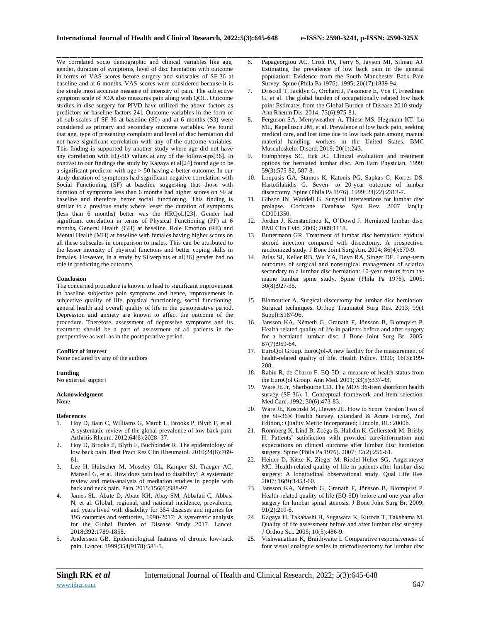We correlated socio demographic and clinical variables like age, gender, duration of symptoms, level of disc herniation with outcome in terms of VAS scores before surgery and subscales of SF-36 at baseline and at 6 months. VAS scores were considered because it is the single most accurate measure of intensity of pain. The subjective symptom scale of JOA also measures pain along with QOL. Outcome studies in disc surgery for PIVD have utilized the above factors as predictors or baseline factors[24]. Outcome variables in the form of all sub-scales of SF-36 at baseline (S0) and at 6 months (S3) were considered as primary and secondary outcome variables. We found that age, type of presenting complaint and level of disc herniation did not have significant correlation with any of the outcome variables. This finding is supported by another study where age did not have any correlation with EQ-5D values at any of the follow-ups[36]. In contrast to our findings the study by Kagaya et al[24] found age to be a significant predictor with age > 50 having a better outcome. In our study duration of symptoms had significant negative correlation with Social Functioning (SF) at baseline suggesting that those with duration of symptoms less than 6 months had higher scores on SF at baseline and therefore better social functioning. This finding is similar to a previous study where lesser the duration of symptoms (less than 6 months) better was the HRQoL[23]. Gender had significant correlation in terms of Physical Functioning (PF) at 6 months, General Health (GH) at baseline, Role Emotion (RE) and Mental Health (MH) at baseline with females having higher scores on all these subscales in comparison to males. This can be attributed to the lesser intensity of physical functions and better coping skills in females. However, in a study by Silverplats et al[36] gender had no role in predicting the outcome.

## **Conclusion**

The concerned procedure is known to lead to significant improvement in baseline subjective pain symptoms and hence, improvements in subjective quality of life, physical functioning, social functioning, general health and overall quality of life in the postoperative period. Depression and anxiety are known to affect the outcome of the procedure. Therefore, assessment of depressive symptoms and its treatment should be a part of assessment of all patients in the preoperative as well as in the postoperative period.

#### **Conflict of interest**

None declared by any of the authors

#### **Funding**

No external support

## **Acknowledgment**

None

#### **References**

- 1. Hoy D, Bain C, Williams G, March L, Brooks P, Blyth F, et al. A systematic review of the global prevalence of low back pain. Arthritis Rheum. 2012;64(6):2028- 37.
- 2. Hoy D, Brooks P, Blyth F, Buchbinder R. The epidemiology of low back pain. Best Pract Res Clin Rheumatol. 2010;24(6):769- 81.
- 3. Lee H, Hübscher M, Moseley GL, Kamper SJ, Traeger AC, Mansell G, et al. How does pain lead to disability? A systematic review and meta-analysis of mediation studies in people with back and neck pain. Pain. 2015;156(6):988-97.
- James SL, Abate D, Abate KH, Abay SM, Abbafati C, Abbasi N, et al. Global, regional, and national incidence, prevalence, and years lived with disability for 354 diseases and injuries for 195 countries and territories, 1990-2017: A systematic analysis for the Global Burden of Disease Study 2017. Lancet. 2018;392:1789-1858.
- 5. Andersson GB. Epidemiological features of chronic low-back pain. Lancet. 1999;354(9178):581-5.
- \_\_\_\_\_\_\_\_\_\_\_\_\_\_\_\_\_\_\_\_\_\_\_\_\_\_\_\_\_\_\_\_\_\_\_\_\_\_\_\_\_\_\_\_\_\_\_\_\_\_\_\_\_\_\_\_\_\_\_\_\_\_\_\_\_\_\_\_\_\_\_\_\_\_\_\_\_\_\_\_\_\_\_\_\_\_\_\_\_\_\_\_\_\_\_\_\_\_\_\_\_\_\_\_\_\_\_\_\_\_\_\_\_\_\_\_\_\_\_\_\_\_\_\_\_\_\_\_\_\_\_\_\_\_\_\_\_\_\_\_ 6. Papageorgiou AC, Croft PR, Ferry S, Jayson MI, Silman AJ. Estimating the prevalence of low back pain in the general population: Evidence from the South Manchester Back Pain Survey. Spine (Phila Pa 1976). 1995; 20(17):1889-94.
	- 7. Driscoll T, Jacklyn G, Orchard J, Passmore E, Vos T, Freedman G, et al. The global burden of occupationally related low back pain: Estimates from the Global Burden of Disease 2010 study. Ann Rheum Dis. 2014; 73(6):975-81.
	- 8. Ferguson SA, Merryweather A, Thiese MS, Hegmann KT, Lu ML, Kapellusch JM, et al. Prevalence of low back pain, seeking medical care, and lost time due to low back pain among manual material handling workers in the United States. BMC Musculoskelet Disord. 2019; 20(1):243.
	- 9. Humphreys SC, Eck JC. Clinical evaluation and treatment options for herniated lumbar disc. Am Fam Physician. 1999; 59(3):575-82, 587-8.
	- 10. Loupasis GA, Stamos K, Katonis PG, Sapkas G, Korres DS, Hartofilakidis G. Seven- to 20-year outcome of lumbar discectomy. Spine (Phila Pa 1976). 1999; 24(22):2313-7.
	- 11. Gibson JN, Waddell G. Surgical interventions for lumbar disc prolapse. Cochrane Database Syst Rev. 2007 Jan(1): CD001350.
	- 12. Jordan J, Konstantinou K, O'Dowd J. Herniated lumbar disc. BMJ Clin Evid. 2009; 2009:1118.
	- 13. Buttermann GR. Treatment of lumbar disc herniation: epidural steroid injection compared with discectomy. A prospective, randomized study. J Bone Joint Surg Am. 2004; 86(4):670-9.
	- 14. Atlas SJ, Keller RB, Wu YA, Deyo RA, Singer DE. Long-term outcomes of surgical and nonsurgical management of sciatica secondary to a lumbar disc herniation: 10-year results from the maine lumbar spine study. Spine (Phila Pa 1976). 2005; 30(8):927-35.
	- 15. Blamoutier A. Surgical discectomy for lumbar disc herniation: Surgical techniques. Orthop Traumatol Surg Res. 2013; 99(1 Suppl):S187-96.
	- 16. Jansson KA, Németh G, Granath F, Jönsson B, Blomqvist P. Health-related quality of life in patients before and after surgery for a herniated lumbar disc. J Bone Joint Surg Br. 2005; 87(7):959-64.
	- 17. EuroQol Group. EuroQol-A new facility for the measurement of health-related quality of life. Health Policy. 1990; 16(3):199- 208.
	- 18. Rabin R, de Charro F. EQ-5D: a measure of health status from the EuroQol Group. Ann Med. 2001; 33(5):337-43.
	- 19. Ware JE Jr, Sherbourne CD. The MOS 36-item shortform health survey (SF-36). I. Conceptual framework and item selection. Med Care. 1992; 30(6):473-83.
	- 20. Ware JE, Kosinski M, Dewey JE. How to Score Version Two of the SF-36® Health Survey, (Standard & Acute Forms), 2nd Edition,: Quality Metric Incorporated; Lincoln, RI.: 2000b.
	- 21. Rönnberg K, Lind B, Zoëga B, Halldin K, Gellerstedt M, Brisby H. Patients' satisfaction with provided care/information and expectations on clinical outcome after lumbar disc herniation surgery. Spine (Phila Pa 1976). 2007; 32(2):256-61.
	- 22. Heider D, Kitze K, Zieger M, Riedel-Heller SG, Angermeyer MC. Health-related quality of life in patients after lumbar disc surgery: A longitudinal observational study. Qual Life Res. 2007; 16(9):1453-60.
	- 23. Jansson KA, Németh G, Granath F, Jönsson B, Blomqvist P. Health-related quality of life (EQ-5D) before and one year after surgery for lumbar spinal stenosis. J Bone Joint Surg Br. 2009; 91(2):210-6.
	- 24. Kagaya H, Takahashi H, Sugawara K, Kuroda T, Takahama M. Quality of life assessment before and after lumbar disc surgery. J Orthop Sci. 2005; 10(5):486-9.
	- 25. Vishwanathan K, Braithwaite I. Comparative responsiveness of four visual analogue scales in microdiscectomy for lumbar disc